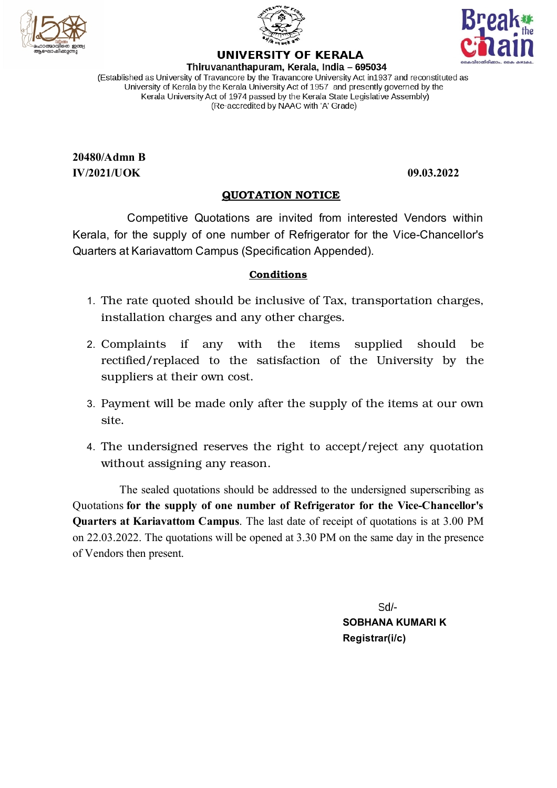





# **UNIVERSITY OF KERALA**

Thiruvananthapuram, Kerala, India - 695034 (Established as University of Travancore by the Travancore University Act in 1937 and reconstituted as University of Kerala by the Kerala University Act of 1957 and presently governed by the Kerala University Act of 1974 passed by the Kerala State Legislative Assembly) (Re-accredited by NAAC with 'A' Grade)

**20480/Admn B IV/2021/UOK 09.03.2022**

### **QUOTATION NOTICE**

Competitive Quotations are invited from interested Vendors within Kerala, for the supply of one number of Refrigerator for the Vice-Chancellor's Quarters at Kariavattom Campus (Specification Appended).

#### **Conditions**

- 1. The rate quoted should be inclusive of Tax, transportation charges, installation charges and any other charges.
- 2. Complaints if any with the items supplied should be rectified/replaced to the satisfaction of the University by the suppliers at their own cost.
- 3. Payment will be made only after the supply of the items at our own site.
- 4. The undersigned reserves the right to accept/reject any quotation without assigning any reason.

The sealed quotations should be addressed to the undersigned superscribing as Quotations **for the supply of one number of Refrigerator for the Vice-Chancellor's Quarters at Kariavattom Campus**. The last date of receipt of quotations is at 3.00 PM on 22.03.2022. The quotations will be opened at 3.30 PM on the same day in the presence of Vendors then present.

> $-$ \b2 **SOBHANA KUMARI K Registrar(i/c)**